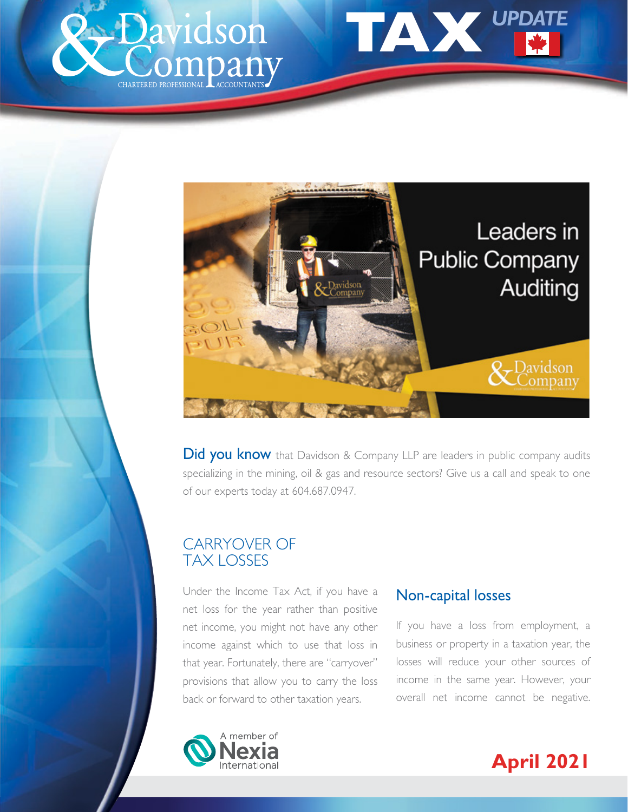<span id="page-0-0"></span>





Did you know that Davidson & Company LLP are leaders in public company audits specializing in the mining, oil & gas and resource sectors? Give us a call and speak to one of our experts today at 604.687.0947.

# CARRYOVER OF TAX LOSSES

Under the Income Tax Act, if you have a net loss for the year rather than positive net income, you might not have any other income against which to use that loss in that year. Fortunately, there are "carryover" provisions that allow you to carry the loss back or forward to other taxation years.

#### Non-capital losses

If you have a loss from employment, a business or property in a taxation year, the losses will reduce your other sources of income in the same year. However, your overall net income cannot be negative.



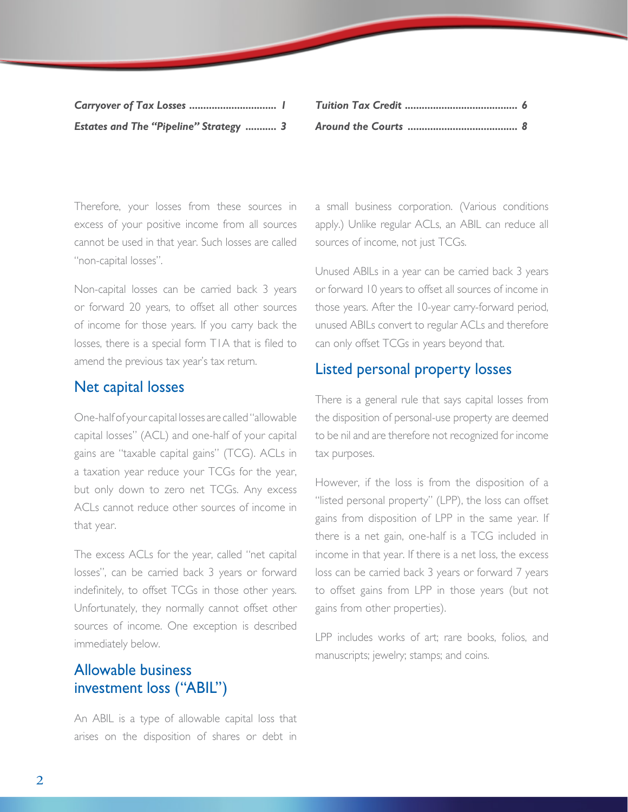| Estates and The "Pipeline" Strategy  3 |  |
|----------------------------------------|--|

Therefore, your losses from these sources in excess of your positive income from all sources cannot be used in that year. Such losses are called "non-capital losses".

Non-capital losses can be carried back 3 years or forward 20 years, to offset all other sources of income for those years. If you carry back the losses, there is a special form T1A that is filed to amend the previous tax year's tax return.

#### Net capital losses

One-half of your capital losses are called "allowable capital losses" (ACL) and one-half of your capital gains are "taxable capital gains" (TCG). ACLs in a taxation year reduce your TCGs for the year, but only down to zero net TCGs. Any excess ACLs cannot reduce other sources of income in that year.

The excess ACLs for the year, called "net capital losses", can be carried back 3 years or forward indefinitely, to offset TCGs in those other years. Unfortunately, they normally cannot offset other sources of income. One exception is described immediately below.

## Allowable business investment loss ("ABIL")

An ABIL is a type of allowable capital loss that arises on the disposition of shares or debt in a small business corporation. (Various conditions apply.) Unlike regular ACLs, an ABIL can reduce all sources of income, not just TCGs.

Unused ABILs in a year can be carried back 3 years or forward 10 years to offset all sources of income in those years. After the 10-year carry-forward period, unused ABILs convert to regular ACLs and therefore can only offset TCGs in years beyond that.

#### Listed personal property losses

There is a general rule that says capital losses from the disposition of personal-use property are deemed to be nil and are therefore not recognized for income tax purposes.

However, if the loss is from the disposition of a "listed personal property" (LPP), the loss can offset gains from disposition of LPP in the same year. If there is a net gain, one-half is a TCG included in income in that year. If there is a net loss, the excess loss can be carried back 3 years or forward 7 years to offset gains from LPP in those years (but not gains from other properties).

LPP includes works of art; rare books, folios, and manuscripts; jewelry; stamps; and coins.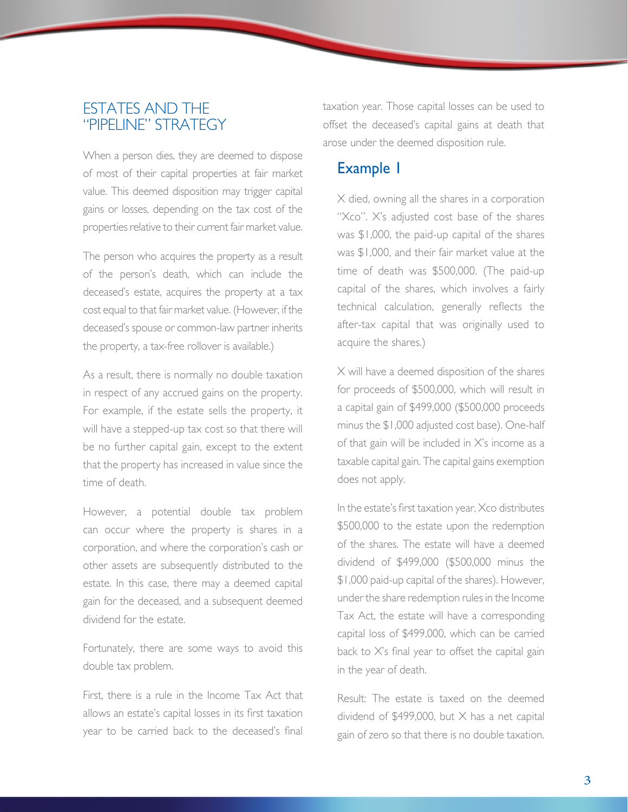#### <span id="page-2-0"></span>ESTATES AND THE "PIPELINE" STRATEGY

When a person dies, they are deemed to dispose of most of their capital properties at fair market value. This deemed disposition may trigger capital gains or losses, depending on the tax cost of the properties relative to their current fair market value.

The person who acquires the property as a result of the person's death, which can include the deceased's estate, acquires the property at a tax cost equal to that fair market value. (However, if the deceased's spouse or common-law partner inherits the property, a tax-free rollover is available.)

As a result, there is normally no double taxation in respect of any accrued gains on the property. For example, if the estate sells the property, it will have a stepped-up tax cost so that there will be no further capital gain, except to the extent that the property has increased in value since the time of death.

However, a potential double tax problem can occur where the property is shares in a corporation, and where the corporation's cash or other assets are subsequently distributed to the estate. In this case, there may a deemed capital gain for the deceased, and a subsequent deemed dividend for the estate.

Fortunately, there are some ways to avoid this double tax problem.

First, there is a rule in the Income Tax Act that allows an estate's capital losses in its first taxation year to be carried back to the deceased's final taxation year. Those capital losses can be used to offset the deceased's capital gains at death that arose under the deemed disposition rule.

## Example 1

 X died, owning all the shares in a corporation "Xco". X's adjusted cost base of the shares was \$1,000, the paid-up capital of the shares was \$1,000, and their fair market value at the time of death was \$500,000. (The paid-up capital of the shares, which involves a fairly technical calculation, generally reflects the after-tax capital that was originally used to acquire the shares.)

 X will have a deemed disposition of the shares for proceeds of \$500,000, which will result in a capital gain of \$499,000 (\$500,000 proceeds minus the \$1,000 adjusted cost base). One-half of that gain will be included in X's income as a taxable capital gain. The capital gains exemption does not apply.

 In the estate's first taxation year, Xco distributes \$500,000 to the estate upon the redemption of the shares. The estate will have a deemed dividend of \$499,000 (\$500,000 minus the \$1,000 paid-up capital of the shares). However, under the share redemption rules in the Income Tax Act, the estate will have a corresponding capital loss of \$499,000, which can be carried back to X's final year to offset the capital gain in the year of death.

 Result: The estate is taxed on the deemed dividend of \$499,000, but X has a net capital gain of zero so that there is no double taxation.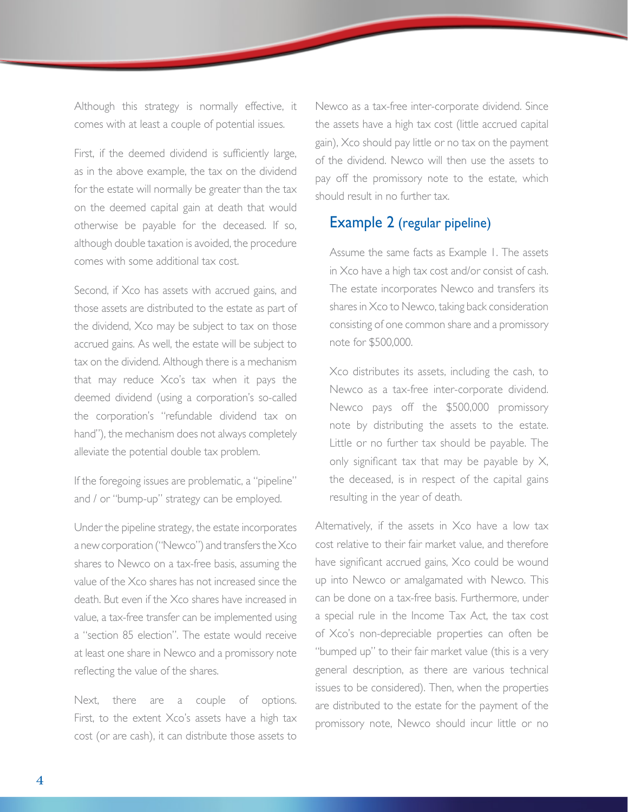Although this strategy is normally effective, it comes with at least a couple of potential issues.

First, if the deemed dividend is sufficiently large, as in the above example, the tax on the dividend for the estate will normally be greater than the tax on the deemed capital gain at death that would otherwise be payable for the deceased. If so, although double taxation is avoided, the procedure comes with some additional tax cost.

Second, if Xco has assets with accrued gains, and those assets are distributed to the estate as part of the dividend, Xco may be subject to tax on those accrued gains. As well, the estate will be subject to tax on the dividend. Although there is a mechanism that may reduce Xco's tax when it pays the deemed dividend (using a corporation's so-called the corporation's "refundable dividend tax on hand"), the mechanism does not always completely alleviate the potential double tax problem.

If the foregoing issues are problematic, a "pipeline" and / or "bump-up" strategy can be employed.

Under the pipeline strategy, the estate incorporates a new corporation ("Newco") and transfers the Xco shares to Newco on a tax-free basis, assuming the value of the Xco shares has not increased since the death. But even if the Xco shares have increased in value, a tax-free transfer can be implemented using a "section 85 election". The estate would receive at least one share in Newco and a promissory note reflecting the value of the shares.

Next, there are a couple of options. First, to the extent Xco's assets have a high tax cost (or are cash), it can distribute those assets to

Newco as a tax-free inter-corporate dividend. Since the assets have a high tax cost (little accrued capital gain), Xco should pay little or no tax on the payment of the dividend. Newco will then use the assets to pay off the promissory note to the estate, which should result in no further tax.

#### Example 2 (regular pipeline)

 Assume the same facts as Example 1. The assets in Xco have a high tax cost and/or consist of cash. The estate incorporates Newco and transfers its shares in Xco to Newco, taking back consideration consisting of one common share and a promissory note for \$500,000.

 Xco distributes its assets, including the cash, to Newco as a tax-free inter-corporate dividend. Newco pays off the \$500,000 promissory note by distributing the assets to the estate. Little or no further tax should be payable. The only significant tax that may be payable by  $X$ , the deceased, is in respect of the capital gains resulting in the year of death.

Alternatively, if the assets in Xco have a low tax cost relative to their fair market value, and therefore have significant accrued gains, Xco could be wound up into Newco or amalgamated with Newco. This can be done on a tax-free basis. Furthermore, under a special rule in the Income Tax Act, the tax cost of Xco's non-depreciable properties can often be "bumped up" to their fair market value (this is a very general description, as there are various technical issues to be considered). Then, when the properties are distributed to the estate for the payment of the promissory note, Newco should incur little or no

4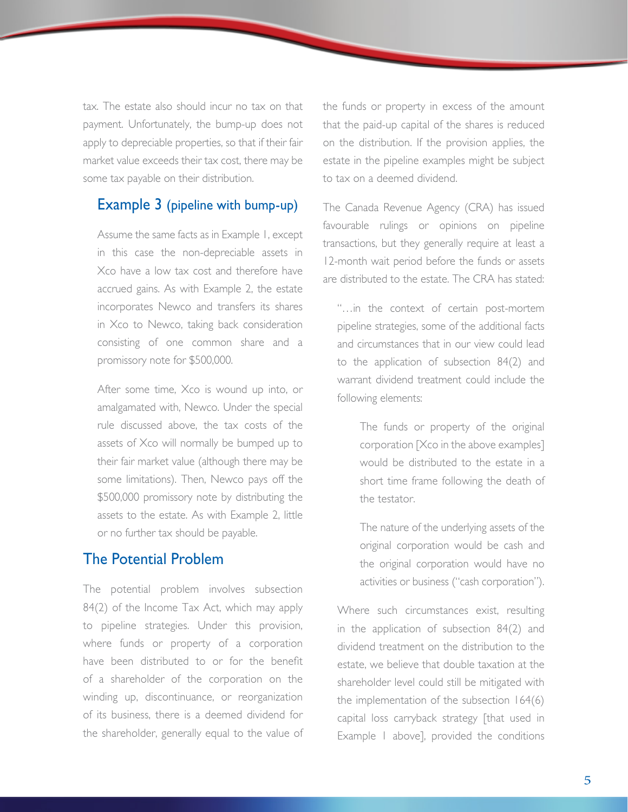tax. The estate also should incur no tax on that payment. Unfortunately, the bump-up does not apply to depreciable properties, so that if their fair market value exceeds their tax cost, there may be some tax payable on their distribution.

#### Example 3 (pipeline with bump-up)

 Assume the same facts as in Example 1, except in this case the non-depreciable assets in Xco have a low tax cost and therefore have accrued gains. As with Example 2, the estate incorporates Newco and transfers its shares in Xco to Newco, taking back consideration consisting of one common share and a promissory note for \$500,000.

 After some time, Xco is wound up into, or amalgamated with, Newco. Under the special rule discussed above, the tax costs of the assets of Xco will normally be bumped up to their fair market value (although there may be some limitations). Then, Newco pays off the \$500,000 promissory note by distributing the assets to the estate. As with Example 2, little or no further tax should be payable.

#### The Potential Problem

The potential problem involves subsection 84(2) of the Income Tax Act, which may apply to pipeline strategies. Under this provision, where funds or property of a corporation have been distributed to or for the benefit of a shareholder of the corporation on the winding up, discontinuance, or reorganization of its business, there is a deemed dividend for the shareholder, generally equal to the value of the funds or property in excess of the amount that the paid-up capital of the shares is reduced on the distribution. If the provision applies, the estate in the pipeline examples might be subject to tax on a deemed dividend.

The Canada Revenue Agency (CRA) has issued favourable rulings or opinions on pipeline transactions, but they generally require at least a 12-month wait period before the funds or assets are distributed to the estate. The CRA has stated:

 "…in the context of certain post-mortem pipeline strategies, some of the additional facts and circumstances that in our view could lead to the application of subsection 84(2) and warrant dividend treatment could include the following elements:

> The funds or property of the original corporation [Xco in the above examples] would be distributed to the estate in a short time frame following the death of the testator.

> The nature of the underlying assets of the original corporation would be cash and the original corporation would have no activities or business ("cash corporation").

 Where such circumstances exist, resulting in the application of subsection 84(2) and dividend treatment on the distribution to the estate, we believe that double taxation at the shareholder level could still be mitigated with the implementation of the subsection 164(6) capital loss carryback strategy [that used in Example 1 above], provided the conditions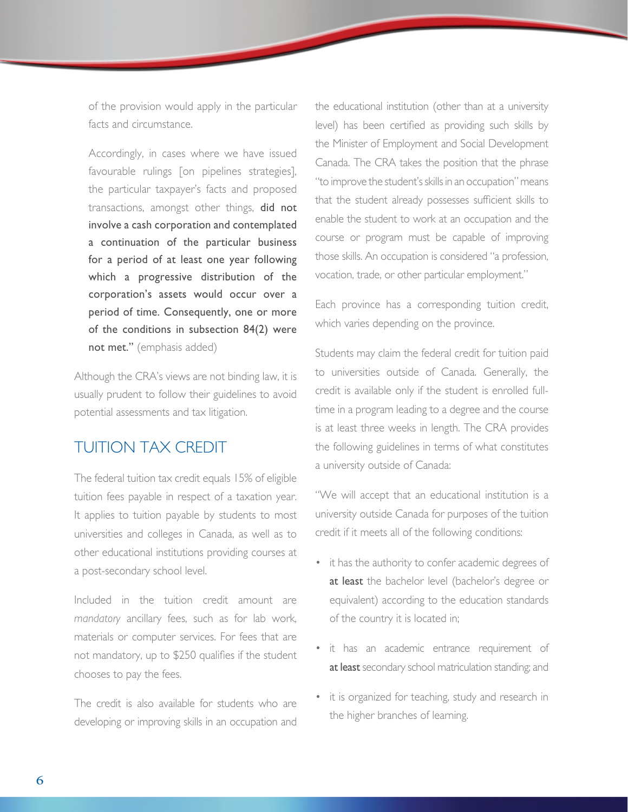<span id="page-5-0"></span>of the provision would apply in the particular facts and circumstance.

 Accordingly, in cases where we have issued favourable rulings [on pipelines strategies], the particular taxpayer's facts and proposed transactions, amongst other things, did not involve a cash corporation and contemplated a continuation of the particular business for a period of at least one year following which a progressive distribution of the corporation's assets would occur over a period of time. Consequently, one or more of the conditions in subsection 84(2) were not met." (emphasis added)

Although the CRA's views are not binding law, it is usually prudent to follow their guidelines to avoid potential assessments and tax litigation.

# TUITION TAX CREDIT

The federal tuition tax credit equals 15% of eligible tuition fees payable in respect of a taxation year. It applies to tuition payable by students to most universities and colleges in Canada, as well as to other educational institutions providing courses at a post-secondary school level.

Included in the tuition credit amount are *mandatory* ancillary fees, such as for lab work, materials or computer services. For fees that are not mandatory, up to \$250 qualifies if the student chooses to pay the fees.

The credit is also available for students who are developing or improving skills in an occupation and the educational institution (other than at a university level) has been certified as providing such skills by the Minister of Employment and Social Development Canada. The CRA takes the position that the phrase "to improve the student's skills in an occupation" means that the student already possesses sufficient skills to enable the student to work at an occupation and the course or program must be capable of improving those skills. An occupation is considered "a profession, vocation, trade, or other particular employment."

Each province has a corresponding tuition credit, which varies depending on the province.

Students may claim the federal credit for tuition paid to universities outside of Canada. Generally, the credit is available only if the student is enrolled fulltime in a program leading to a degree and the course is at least three weeks in length. The CRA provides the following guidelines in terms of what constitutes a university outside of Canada:

"We will accept that an educational institution is a university outside Canada for purposes of the tuition credit if it meets all of the following conditions:

- it has the authority to confer academic degrees of at least the bachelor level (bachelor's degree or equivalent) according to the education standards of the country it is located in;
- it has an academic entrance requirement of at least secondary school matriculation standing; and
- it is organized for teaching, study and research in the higher branches of learning.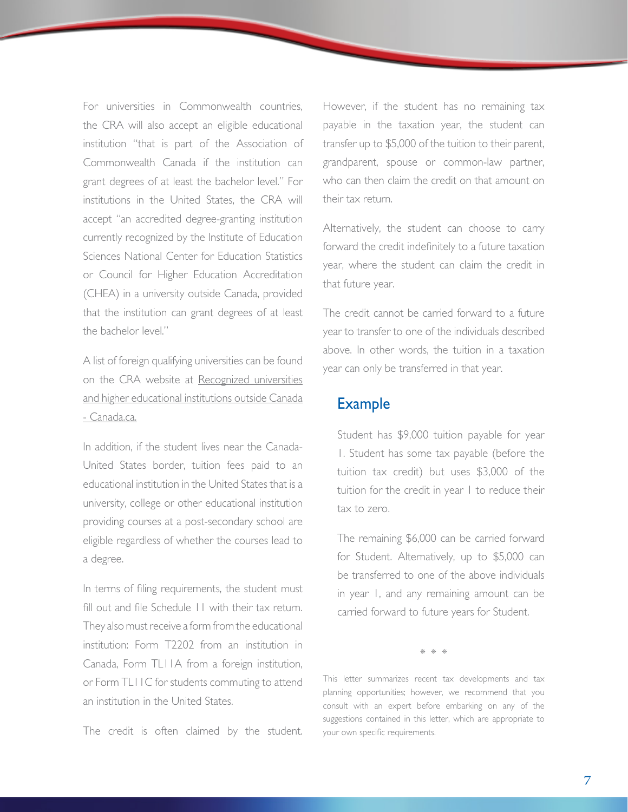For universities in Commonwealth countries, the CRA will also accept an eligible educational institution "that is part of the Association of Commonwealth Canada if the institution can grant degrees of at least the bachelor level." For institutions in the United States, the CRA will accept "an accredited degree-granting institution currently recognized by the Institute of Education Sciences National Center for Education Statistics or Council for Higher Education Accreditation (CHEA) in a university outside Canada, provided that the institution can grant degrees of at least the bachelor level."

A list of foreign qualifying universities can be found on the CRA website at Recognized universities and higher educational institutions outside Canada - Canada.ca.

In addition, if the student lives near the Canada-United States border, tuition fees paid to an educational institution in the United States that is a university, college or other educational institution providing courses at a post-secondary school are eligible regardless of whether the courses lead to a degree.

In terms of filing requirements, the student must fill out and file Schedule 11 with their tax return. They also must receive a form from the educational institution: Form T2202 from an institution in Canada, Form TL11A from a foreign institution, or Form TL11C for students commuting to attend an institution in the United States.

The credit is often claimed by the student.

However, if the student has no remaining tax payable in the taxation year, the student can transfer up to \$5,000 of the tuition to their parent, grandparent, spouse or common-law partner, who can then claim the credit on that amount on their tax return.

Alternatively, the student can choose to carry forward the credit indefinitely to a future taxation year, where the student can claim the credit in that future year.

The credit cannot be carried forward to a future year to transfer to one of the individuals described above. In other words, the tuition in a taxation year can only be transferred in that year.

#### Example

 Student has \$9,000 tuition payable for year 1. Student has some tax payable (before the tuition tax credit) but uses \$3,000 of the tuition for the credit in year I to reduce their tax to zero.

 The remaining \$6,000 can be carried forward for Student. Alternatively, up to \$5,000 can be transferred to one of the above individuals in year 1, and any remaining amount can be carried forward to future years for Student.

\* \* \*

This letter summarizes recent tax developments and tax planning opportunities; however, we recommend that you consult with an expert before embarking on any of the suggestions contained in this letter, which are appropriate to your own specific requirements.